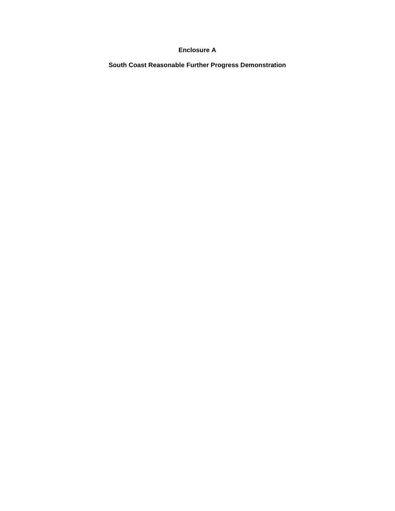## **Enclosure A**

 **South Coast Reasonable Further Progress Demonstration**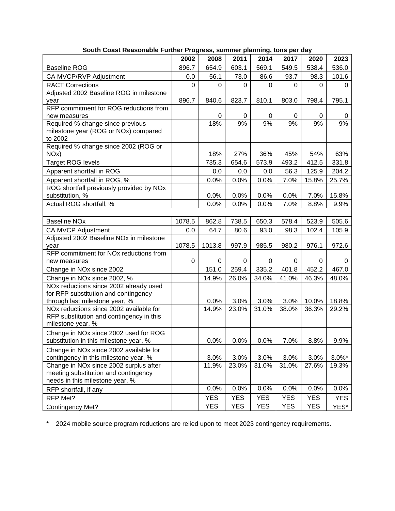|                                                                                                                   | 2002   | 2008       | 2011       | 2014       | 2017       | 2020       | 2023       |
|-------------------------------------------------------------------------------------------------------------------|--------|------------|------------|------------|------------|------------|------------|
| <b>Baseline ROG</b>                                                                                               | 896.7  | 654.9      | 603.1      | 569.1      | 549.5      | 538.4      | 536.0      |
| CA MVCP/RVP Adjustment                                                                                            | 0.0    | 56.1       | 73.0       | 86.6       | 93.7       | 98.3       | 101.6      |
| <b>RACT Corrections</b>                                                                                           | 0      | 0          | 0          | 0          | 0          | 0          | 0          |
| Adjusted 2002 Baseline ROG in milestone                                                                           |        |            |            |            |            |            |            |
| year                                                                                                              | 896.7  | 840.6      | 823.7      | 810.1      | 803.0      | 798.4      | 795.1      |
| RFP commitment for ROG reductions from                                                                            |        |            |            |            |            |            |            |
| new measures                                                                                                      |        | 0          | 0          | 0          | 0          | 0          | 0          |
| Required % change since previous<br>milestone year (ROG or NOx) compared<br>to 2002                               |        | 18%        | 9%         | 9%         | 9%         | 9%         | 9%         |
| Required % change since 2002 (ROG or<br>NO <sub>x</sub> )                                                         |        | 18%        | 27%        | 36%        | 45%        | 54%        | 63%        |
| <b>Target ROG levels</b>                                                                                          |        | 735.3      | 654.6      | 573.9      | 493.2      | 412.5      | 331.8      |
| Apparent shortfall in ROG                                                                                         |        | 0.0        | 0.0        | 0.0        | 56.3       | 125.9      | 204.2      |
| Apparent shortfall in ROG, %                                                                                      |        | 0.0%       | 0.0%       | 0.0%       | 7.0%       | 15.8%      | 25.7%      |
| ROG shortfall previously provided by NOx<br>substitution, %                                                       |        | 0.0%       | 0.0%       | 0.0%       | 0.0%       | 7.0%       | 15.8%      |
| Actual ROG shortfall, %                                                                                           |        | 0.0%       | 0.0%       | 0.0%       | 7.0%       | 8.8%       | 9.9%       |
|                                                                                                                   |        |            |            |            |            |            |            |
| <b>Baseline NOx</b>                                                                                               | 1078.5 | 862.8      | 738.5      | 650.3      | 578.4      | 523.9      | 505.6      |
| CA MVCP Adjustment                                                                                                | 0.0    | 64.7       | 80.6       | 93.0       | 98.3       | 102.4      | 105.9      |
| Adjusted 2002 Baseline NOx in milestone<br>year                                                                   | 1078.5 | 1013.8     | 997.9      | 985.5      | 980.2      | 976.1      | 972.6      |
| RFP commitment for NO <sub>x</sub> reductions from                                                                |        |            |            |            |            |            |            |
| new measures                                                                                                      | 0      | 0          | 0          | 0          | 0          | 0          | 0          |
| Change in NOx since 2002                                                                                          |        | 151.0      | 259.4      | 335.2      | 401.8      | 452.2      | 467.0      |
| Change in NOx since 2002, %                                                                                       |        | 14.9%      | 26.0%      | 34.0%      | 41.0%      | 46.3%      | 48.0%      |
| NOx reductions since 2002 already used<br>for RFP substitution and contingency<br>through last milestone year, %  |        | 0.0%       | 3.0%       | 3.0%       | 3.0%       | 10.0%      | 18.8%      |
| NOx reductions since 2002 available for<br>RFP substitution and contingency in this<br>milestone year, %          |        | 14.9%      | 23.0%      | 31.0%      | 38.0%      | 36.3%      | 29.2%      |
| Change in NOx since 2002 used for ROG<br>substitution in this milestone year, %                                   |        | 0.0%       | 0.0%       | $0.0\%$    | 7.0%       | 8.8%       | 9.9%       |
| Change in NOx since 2002 available for<br>contingency in this milestone year, %                                   |        | 3.0%       | 3.0%       | 3.0%       | 3.0%       | 3.0%       | $3.0\%$ *  |
| Change in NOx since 2002 surplus after<br>meeting substitution and contingency<br>needs in this milestone year, % |        | 11.9%      | 23.0%      | 31.0%      | 31.0%      | 27.6%      | 19.3%      |
| RFP shortfall, if any                                                                                             |        | 0.0%       | 0.0%       | 0.0%       | 0.0%       | 0.0%       | 0.0%       |
| RFP Met?                                                                                                          |        | <b>YES</b> | <b>YES</b> | <b>YES</b> | <b>YES</b> | <b>YES</b> | <b>YES</b> |
| Contingency Met?                                                                                                  |        | <b>YES</b> | <b>YES</b> | YES        | <b>YES</b> | <b>YES</b> | YES*       |

 **South Coast Reasonable Further Progress, summer planning, tons per day** 

\* 2024 mobile source program reductions are relied upon to meet 2023 contingency requirements.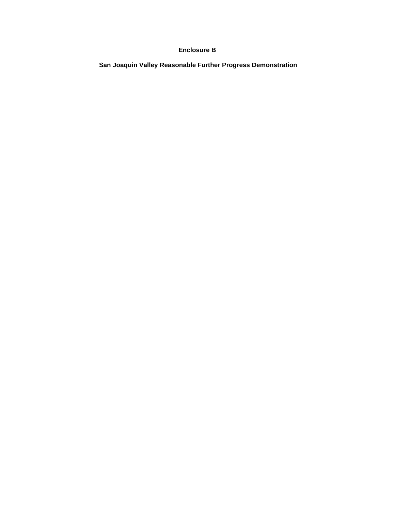## **Enclosure B**

 **San Joaquin Valley Reasonable Further Progress Demonstration**